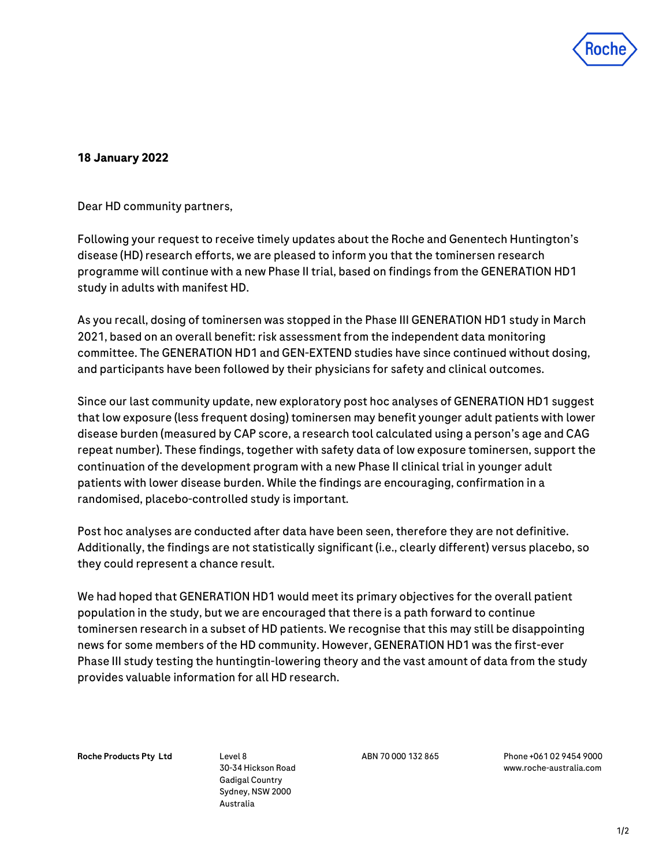

## **18 January 2022**

Dear HD community partners,

Following your request to receive timely updates about the Roche and Genentech Huntington's disease (HD) research efforts, we are pleased to inform you that the tominersen research programme will continue with a new Phase II trial, based on findings from the GENERATION HD1 study in adults with manifest HD.

As you recall, dosing of tominersen was stopped in the Phase III GENERATION HD1 study in March 2021, based on an overall benefit: risk assessment from the independent data monitoring committee. The GENERATION HD1 and GEN-EXTEND studies have since continued without dosing, and participants have been followed by their physicians for safety and clinical outcomes.

Since our last community update, new exploratory post hoc analyses of GENERATION HD1 suggest that low exposure (less frequent dosing) tominersen may benefit younger adult patients with lower disease burden (measured by CAP score, a research tool calculated using a person's age and CAG repeat number). These findings, together with safety data of low exposure tominersen, support the continuation of the development program with a new Phase II clinical trial in younger adult patients with lower disease burden. While the findings are encouraging, confirmation in a randomised, placebo-controlled study is important.

Post hoc analyses are conducted after data have been seen, therefore they are not definitive. Additionally, the findings are not statistically significant (i.e., clearly different) versus placebo, so they could represent a chance result.

We had hoped that GENERATION HD1 would meet its primary objectives for the overall patient population in the study, but we are encouraged that there is a path forward to continue tominersen research in a subset of HD patients. We recognise that this may still be disappointing news for some members of the HD community. However, GENERATION HD1 was the first-ever Phase III study testing the huntingtin-lowering theory and the vast amount of data from the study provides valuable information for all HD research.

Roche Products Pty Ltd Level 8

30-34 Hickson Road Gadigal Country Sydney, NSW 2000 Australia

ABN 70 000 132 865 Phone +061 02 9454 9000 [www.roche-australia.com](http://www.roche.com/)